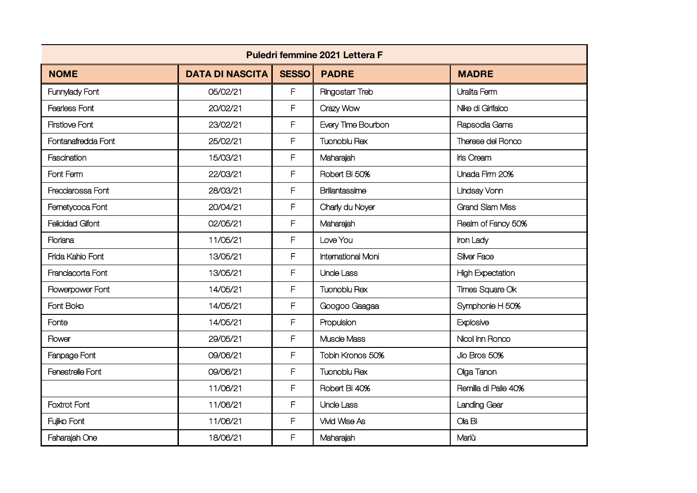| <b>Puledri femmine 2021 Lettera F</b> |                        |              |                        |                         |  |  |
|---------------------------------------|------------------------|--------------|------------------------|-------------------------|--|--|
| <b>NOME</b>                           | <b>DATA DI NASCITA</b> | <b>SESSO</b> | <b>PADRE</b>           | <b>MADRE</b>            |  |  |
| Funnylady Font                        | 05/02/21               | F            | <b>Ringostarr Treb</b> | Uralita Ferm            |  |  |
| Fearless Font                         | 20/02/21               | F            | Crazy Wow              | Nike di Girifalco       |  |  |
| <b>Firstlove Font</b>                 | 23/02/21               | F            | Every Time Bourbon     | Rapsodia Gams           |  |  |
| Fontanafredda Font                    | 25/02/21               | F            | <b>Tuonoblu Rex</b>    | Therese del Ronco       |  |  |
| Fascination                           | 15/03/21               | F            | Maharajah              | Iris Cream              |  |  |
| Font Ferm                             | 22/03/21               | F            | Robert Bi 50%          | Unada Firm 20%          |  |  |
| Frecciarossa Font                     | 28/03/21               | F            | Brillantassime         | Lindsay Vonn            |  |  |
| Femetycoca Font                       | 20/04/21               | F            | Charly du Noyer        | <b>Grand Slam Miss</b>  |  |  |
| <b>Felicidad Gifont</b>               | 02/05/21               | F            | Maharajah              | Realm of Fancy 50%      |  |  |
| Floriana                              | 11/05/21               | F            | Love You               | Iron Lady               |  |  |
| Frida Kahlo Font                      | 13/05/21               | F            | International Moni     | Silver Face             |  |  |
| Franciacorta Font                     | 13/05/21               | F            | Uncle Lass             | <b>High Expectation</b> |  |  |
| Flowerpower Font                      | 14/05/21               | F            | <b>Tuonoblu Rex</b>    | Times Square Ok         |  |  |
| Font Boko                             | 14/05/21               | F            | Googoo Gaagaa          | Symphonie H 50%         |  |  |
| Fonte                                 | 14/05/21               | F            | Propulsion             | Explosive               |  |  |
| Flower                                | 29/05/21               | F            | Muscle Mass            | Nicol Inn Ronco         |  |  |
| Fanpage Font                          | 09/06/21               | F            | Tobin Kronos 50%       | Jlo Bros 50%            |  |  |
| Fenestrelle Font                      | 09/06/21               | F            | <b>Tuonoblu Rex</b>    | Olga Tanon              |  |  |
|                                       | 11/06/21               | F            | Robert Bi 40%          | Remilla di Palle 40%    |  |  |
| <b>Foxtrot Font</b>                   | 11/06/21               | F            | Uncle Lass             | Landing Gear            |  |  |
| Fujiko Font                           | 11/06/21               | F            | Vivid Wise As          | Ola Bi                  |  |  |
| Faharajah One                         | 18/06/21               | F            | Maharajah              | Mariù                   |  |  |